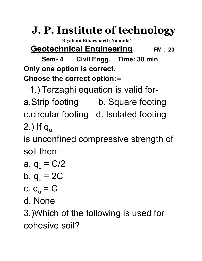## **J. P. Institute of technology**

**Biyabani Biharsharif (Nalanda)**

**Geotechnical Engineering FM : <sup>20</sup>**

**Sem- 4 Civil Engg. Time: 30 min Only one option is correct. Choose the correct option:--**

1.) Terzaghi equation is valid fora.Strip footing b. Square footing c.circular footing d. Isolated footing 2.) If  $q_{\rm u}$ 

is unconfined compressive strength of soil then-

a.  $q_u = C/2$ 

b. 
$$
q_u = 2C
$$

$$
c. q_u = C
$$

d. None

3.)Which of the following is used for cohesive soil?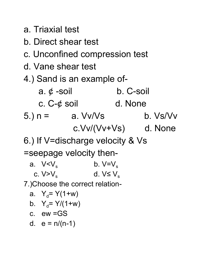```
a. Triaxial test
```
- b. Direct shear test
- c. Unconfined compression test
- d. Vane shear test
- 4.) Sand is an example of-
- a.  $\phi$  -soil b. C-soil c. C-¢ soil d. None  $5.$ ) n = a. Vv/Vs b. Vs/Vv c.Vv/(Vv+Vs) d. None
- 6.) If V=discharge velocity & Vs

=seepage velocity then-

| a. $V/V_s$   | b. $V=V_s$     |
|--------------|----------------|
| c. $V > V_s$ | d. $V \le V_s$ |

7.)Choose the correct relation-

a. 
$$
Y_d = Y(1+w)
$$

b. 
$$
Y_d = Y/(1+w)
$$

$$
c. \quad ew = GS
$$

d.  $e = n/(n-1)$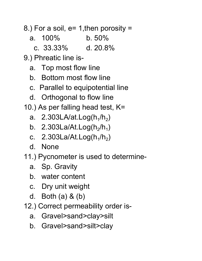8.) For a soil,  $e= 1$ , then porosity =

a. 100% b. 50%

c. 33.33% d. 20.8%

9.) Phreatic line is-

- a. Top most flow line
- b. Bottom most flow line
- c. Parallel to equipotential line
- d. Orthogonal to flow line
- 10.) As per falling head test, K=
	- a. 2.303LA/at.Log $(h_1/h_2)$
	- b.  $2.303$ La/At.Log(h<sub>2</sub>/h<sub>1</sub>)
	- c.  $2.303$ La/At.Log(h<sub>1</sub>/h<sub>2</sub>)
	- d. None
- 11.) Pycnometer is used to determine
	- a. Sp. Gravity
	- b. water content
	- c. Dry unit weight
	- d. Both (a) & (b)
- 12.) Correct permeability order is
	- a. Gravel>sand>clay>silt
	- b. Gravel>sand>silt>clay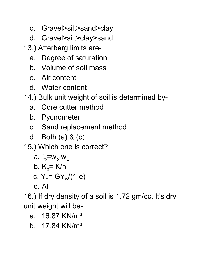- c. Gravel>silt>sand>clay
- d. Gravel>silt>clay>sand

13.) Atterberg limits are-

- a. Degree of saturation
- b. Volume of soil mass
- c. Air content
- d. Water content
- 14.) Bulk unit weight of soil is determined by
	- a. Core cutter method
	- b. Pycnometer
	- c. Sand replacement method
	- d. Both (a) & (c)

15.) Which one is correct?

$$
a. I_p = w_p - w_L
$$

b. 
$$
K_p = K/n
$$

c. 
$$
Y_d = GY_w/(1-e)
$$

d. All

16.) If dry density of a soil is 1.72 gm/cc. It's dry unit weight will be-

- a. 16.87 KN/m<sup>3</sup>
- b.  $17.84$  KN/m<sup>3</sup>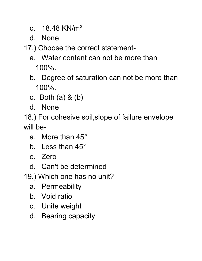c.  $18.48$  KN/m<sup>3</sup>

d. None

17.) Choose the correct statement-

- a. Water content can not be more than 100%.
- b. Degree of saturation can not be more than 100%.
- c. Both (a) & (b)
- d. None

18.) For cohesive soil,slope of failure envelope will be-

- a. More than 45°
- b. Less than 45°
- c. Zero
- d. Can't be determined
- 19.) Which one has no unit?
	- a. Permeability
	- b. Void ratio
	- c. Unite weight
	- d. Bearing capacity